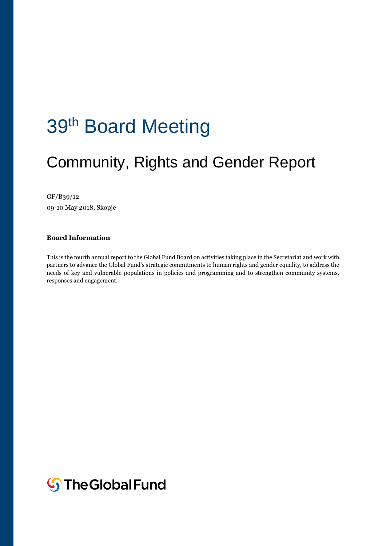# 39<sup>th</sup> Board Meeting

## Community, Rights and Gender Report

#### GF/B39/12

09-10 May 2018, Skopje

#### **Board Information**

This is the fourth annual report to the Global Fund Board on activities taking place in the Secretariat and work with partners to advance the Global Fund's strategic commitments to human rights and gender equality, to address the needs of key and vulnerable populations in policies and programming and to strengthen community systems, responses and engagement.

**S**The Global Fund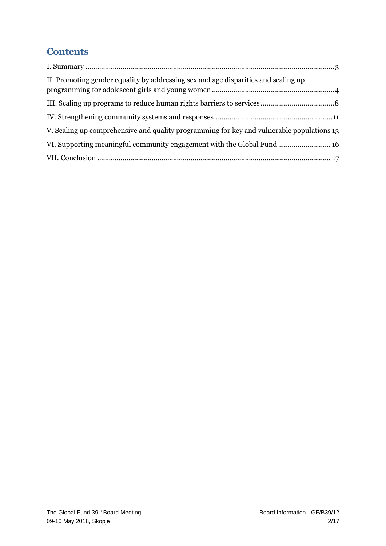### **Contents**

| II. Promoting gender equality by addressing sex and age disparities and scaling up        |
|-------------------------------------------------------------------------------------------|
|                                                                                           |
|                                                                                           |
| V. Scaling up comprehensive and quality programming for key and vulnerable populations 13 |
| VI. Supporting meaningful community engagement with the Global Fund 16                    |
|                                                                                           |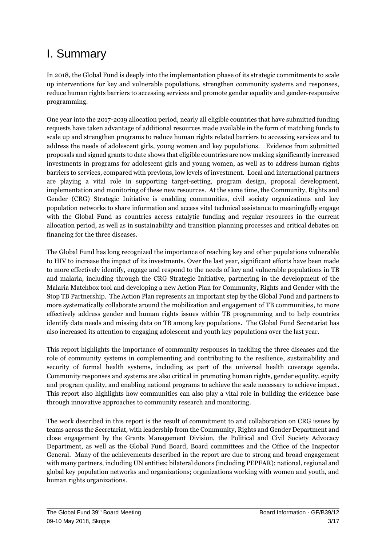### <span id="page-2-0"></span>I. Summary

In 2018, the Global Fund is deeply into the implementation phase of its strategic commitments to scale up interventions for key and vulnerable populations, strengthen community systems and responses, reduce human rights barriers to accessing services and promote gender equality and gender-responsive programming.

One year into the 2017-2019 allocation period, nearly all eligible countries that have submitted funding requests have taken advantage of additional resources made available in the form of matching funds to scale up and strengthen programs to reduce human rights related barriers to accessing services and to address the needs of adolescent girls, young women and key populations. Evidence from submitted proposals and signed grants to date shows that eligible countries are now making significantly increased investments in programs for adolescent girls and young women, as well as to address human rights barriers to services, compared with previous, low levels of investment. Local and international partners are playing a vital role in supporting target-setting, program design, proposal development, implementation and monitoring of these new resources. At the same time, the Community, Rights and Gender (CRG) Strategic Initiative is enabling communities, civil society organizations and key population networks to share information and access vital technical assistance to meaningfully engage with the Global Fund as countries access catalytic funding and regular resources in the current allocation period, as well as in sustainability and transition planning processes and critical debates on financing for the three diseases.

The Global Fund has long recognized the importance of reaching key and other populations vulnerable to HIV to increase the impact of its investments. Over the last year, significant efforts have been made to more effectively identify, engage and respond to the needs of key and vulnerable populations in TB and malaria, including through the CRG Strategic Initiative, partnering in the development of the Malaria Matchbox tool and developing a new Action Plan for Community, Rights and Gender with the Stop TB Partnership. The Action Plan represents an important step by the Global Fund and partners to more systematically collaborate around the mobilization and engagement of TB communities, to more effectively address gender and human rights issues within TB programming and to help countries identify data needs and missing data on TB among key populations. The Global Fund Secretariat has also increased its attention to engaging adolescent and youth key populations over the last year.

This report highlights the importance of community responses in tackling the three diseases and the role of community systems in complementing and contributing to the resilience, sustainability and security of formal health systems, including as part of the universal health coverage agenda. Community responses and systems are also critical in promoting human rights, gender equality, equity and program quality, and enabling national programs to achieve the scale necessary to achieve impact. This report also highlights how communities can also play a vital role in building the evidence base through innovative approaches to community research and monitoring.

The work described in this report is the result of commitment to and collaboration on CRG issues by teams across the Secretariat, with leadership from the Community, Rights and Gender Department and close engagement by the Grants Management Division, the Political and Civil Society Advocacy Department, as well as the Global Fund Board, Board committees and the Office of the Inspector General. Many of the achievements described in the report are due to strong and broad engagement with many partners, including UN entities; bilateral donors (including PEPFAR); national, regional and global key population networks and organizations; organizations working with women and youth, and human rights organizations.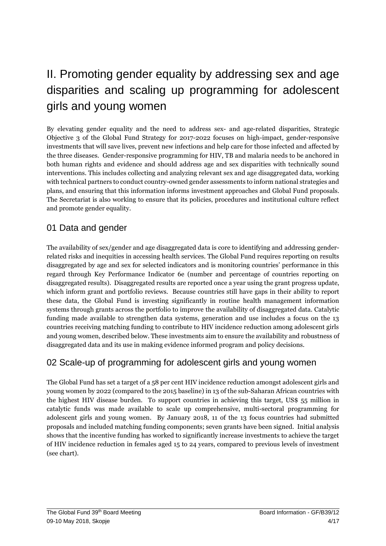## <span id="page-3-0"></span>II. Promoting gender equality by addressing sex and age disparities and scaling up programming for adolescent girls and young women

By elevating gender equality and the need to address sex- and age-related disparities, Strategic Objective 3 of the Global Fund Strategy for 2017-2022 focuses on high-impact, gender-responsive investments that will save lives, prevent new infections and help care for those infected and affected by the three diseases. Gender-responsive programming for HIV, TB and malaria needs to be anchored in both human rights and evidence and should address age and sex disparities with technically sound interventions. This includes collecting and analyzing relevant sex and age disaggregated data, working with technical partners to conduct country-owned gender assessments to inform national strategies and plans, and ensuring that this information informs investment approaches and Global Fund proposals. The Secretariat is also working to ensure that its policies, procedures and institutional culture reflect and promote gender equality.

#### 01 Data and gender

The availability of sex/gender and age disaggregated data is core to identifying and addressing genderrelated risks and inequities in accessing health services. The Global Fund requires reporting on results disaggregated by age and sex for selected indicators and is monitoring countries' performance in this regard through Key Performance Indicator 6e (number and percentage of countries reporting on disaggregated results). Disaggregated results are reported once a year using the grant progress update, which inform grant and portfolio reviews. Because countries still have gaps in their ability to report these data, the Global Fund is investing significantly in routine health management information systems through grants across the portfolio to improve the availability of disaggregated data. Catalytic funding made available to strengthen data systems, generation and use includes a focus on the 13 countries receiving matching funding to contribute to HIV incidence reduction among adolescent girls and young women, described below. These investments aim to ensure the availability and robustness of disaggregated data and its use in making evidence informed program and policy decisions.

#### 02 Scale-up of programming for adolescent girls and young women

The Global Fund has set a target of a 58 per cent HIV incidence reduction amongst adolescent girls and young women by 2022 (compared to the 2015 baseline) in 13 of the sub-Saharan African countries with the highest HIV disease burden. To support countries in achieving this target, US\$ 55 million in catalytic funds was made available to scale up comprehensive, multi-sectoral programming for adolescent girls and young women. By January 2018, 11 of the 13 focus countries had submitted proposals and included matching funding components; seven grants have been signed. Initial analysis shows that the incentive funding has worked to significantly increase investments to achieve the target of HIV incidence reduction in females aged 15 to 24 years, compared to previous levels of investment (see chart).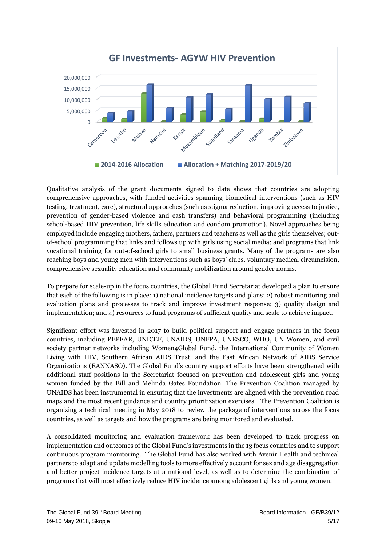

Qualitative analysis of the grant documents signed to date shows that countries are adopting comprehensive approaches, with funded activities spanning biomedical interventions (such as HIV testing, treatment, care), structural approaches (such as stigma reduction, improving access to justice, prevention of gender-based violence and cash transfers) and behavioral programming (including school-based HIV prevention, life skills education and condom promotion). Novel approaches being employed include engaging mothers, fathers, partners and teachers as well as the girls themselves; outof-school programming that links and follows up with girls using social media; and programs that link vocational training for out-of-school girls to small business grants. Many of the programs are also reaching boys and young men with interventions such as boys' clubs, voluntary medical circumcision, comprehensive sexuality education and community mobilization around gender norms.

To prepare for scale-up in the focus countries, the Global Fund Secretariat developed a plan to ensure that each of the following is in place: 1) national incidence targets and plans; 2) robust monitoring and evaluation plans and processes to track and improve investment response; 3) quality design and implementation; and 4) resources to fund programs of sufficient quality and scale to achieve impact.

Significant effort was invested in 2017 to build political support and engage partners in the focus countries, including PEPFAR, UNICEF, UNAIDS, UNFPA, UNESCO, WHO, UN Women, and civil society partner networks including Women4Global Fund, the International Community of Women Living with HIV, Southern African AIDS Trust, and the East African Network of AIDS Service Organizations (EANNASO). The Global Fund's country support efforts have been strengthened with additional staff positions in the Secretariat focused on prevention and adolescent girls and young women funded by the Bill and Melinda Gates Foundation. The Prevention Coalition managed by UNAIDS has been instrumental in ensuring that the investments are aligned with the prevention road maps and the most recent guidance and country prioritization exercises. The Prevention Coalition is organizing a technical meeting in May 2018 to review the package of interventions across the focus countries, as well as targets and how the programs are being monitored and evaluated.

A consolidated monitoring and evaluation framework has been developed to track progress on implementation and outcomes of the Global Fund's investments in the 13 focus countries and to support continuous program monitoring. The Global Fund has also worked with Avenir Health and technical partners to adapt and update modelling tools to more effectively account for sex and age disaggregation and better project incidence targets at a national level, as well as to determine the combination of programs that will most effectively reduce HIV incidence among adolescent girls and young women.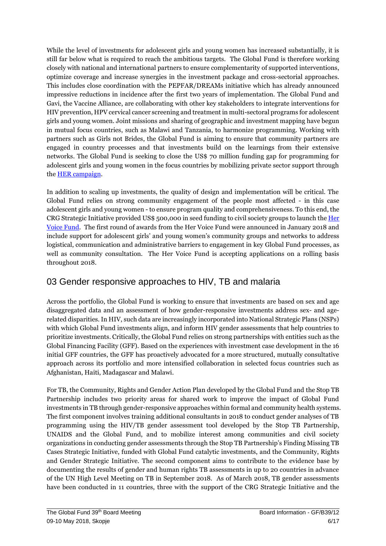While the level of investments for adolescent girls and young women has increased substantially, it is still far below what is required to reach the ambitious targets. The Global Fund is therefore working closely with national and international partners to ensure complementarity of supported interventions, optimize coverage and increase synergies in the investment package and cross-sectorial approaches. This includes close coordination with the PEPFAR/DREAMs initiative which has already announced impressive reductions in incidence after the first two years of implementation. The Global Fund and Gavi, the Vaccine Alliance, are collaborating with other key stakeholders to integrate interventions for HIV prevention, HPV cervical cancer screening and treatment in multi-sectoral programs for adolescent girls and young women. Joint missions and sharing of geographic and investment mapping have begun in mutual focus countries, such as Malawi and Tanzania, to harmonize programming. Working with partners such as Girls not Brides, the Global Fund is aiming to ensure that community partners are engaged in country processes and that investments build on the learnings from their extensive networks. The Global Fund is seeking to close the US\$ 70 million funding gap for programming for adolescent girls and young women in the focus countries by mobilizing private sector support through th[e HER campaign.](https://www.theglobalfund.org/en/her/)

In addition to scaling up investments, the quality of design and implementation will be critical. The Global Fund relies on strong community engagement of the people most affected - in this case adolescent girls and young women - to ensure program quality and comprehensiveness. To this end, the CRG Strategic Initiative provided US\$ 500,000 in seed funding to civil society groups to launch the [Her](https://www.hervoicefund.org/)  [Voice Fund.](https://www.hervoicefund.org/) The first round of awards from the Her Voice Fund were announced in January 2018 and include support for adolescent girls' and young women's community groups and networks to address logistical, communication and administrative barriers to engagement in key Global Fund processes, as well as community consultation. The Her Voice Fund is accepting applications on a rolling basis throughout 2018.

#### 03 Gender responsive approaches to HIV, TB and malaria

Across the portfolio, the Global Fund is working to ensure that investments are based on sex and age disaggregated data and an assessment of how gender-responsive investments address sex- and agerelated disparities. In HIV, such data are increasingly incorporated into National Strategic Plans (NSPs) with which Global Fund investments align, and inform HIV gender assessments that help countries to prioritize investments. Critically, the Global Fund relies on strong partnerships with entities such as the Global Financing Facility (GFF). Based on the experiences with investment case development in the 16 initial GFF countries, the GFF has proactively advocated for a more structured, mutually consultative approach across its portfolio and more intensified collaboration in selected focus countries such as Afghanistan, Haiti, Madagascar and Malawi.

For TB, the Community, Rights and Gender Action Plan developed by the Global Fund and the Stop TB Partnership includes two priority areas for shared work to improve the impact of Global Fund investments in TB through gender-responsive approaches within formal and community health systems. The first component involves training additional consultants in 2018 to conduct gender analyses of TB programming using the HIV/TB gender assessment tool developed by the Stop TB Partnership, UNAIDS and the Global Fund, and to mobilize interest among communities and civil society organizations in conducting gender assessments through the Stop TB Partnership's Finding Missing TB Cases Strategic Initiative, funded with Global Fund catalytic investments, and the Community, Rights and Gender Strategic Initiative. The second component aims to contribute to the evidence base by documenting the results of gender and human rights TB assessments in up to 20 countries in advance of the UN High Level Meeting on TB in September 2018. As of March 2018, TB gender assessments have been conducted in 11 countries, three with the support of the CRG Strategic Initiative and the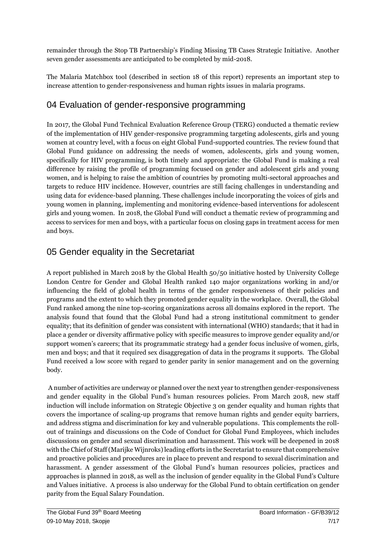remainder through the Stop TB Partnership's Finding Missing TB Cases Strategic Initiative. Another seven gender assessments are anticipated to be completed by mid-2018.

The Malaria Matchbox tool (described in section 18 of this report) represents an important step to increase attention to gender-responsiveness and human rights issues in malaria programs.

### 04 Evaluation of gender-responsive programming

In 2017, the Global Fund Technical Evaluation Reference Group (TERG) conducted a thematic review of the implementation of HIV gender-responsive programming targeting adolescents, girls and young women at country level, with a focus on eight Global Fund-supported countries. The review found that Global Fund guidance on addressing the needs of women, adolescents, girls and young women, specifically for HIV programming, is both timely and appropriate: the Global Fund is making a real difference by raising the profile of programming focused on gender and adolescent girls and young women, and is helping to raise the ambition of countries by promoting multi-sectoral approaches and targets to reduce HIV incidence. However, countries are still facing challenges in understanding and using data for evidence-based planning. These challenges include incorporating the voices of girls and young women in planning, implementing and monitoring evidence-based interventions for adolescent girls and young women. In 2018, the Global Fund will conduct a thematic review of programming and access to services for men and boys, with a particular focus on closing gaps in treatment access for men and boys.

#### 05 Gender equality in the Secretariat

A report published in March 2018 by the Global Health 50/50 initiative hosted by University College London Centre for Gender and Global Health ranked 140 major organizations working in and/or influencing the field of global health in terms of the gender responsiveness of their policies and programs and the extent to which they promoted gender equality in the workplace. Overall, the Global Fund ranked among the nine top-scoring organizations across all domains explored in the report. The analysis found that found that the Global Fund had a strong institutional commitment to gender equality; that its definition of gender was consistent with international (WHO) standards; that it had in place a gender or diversity affirmative policy with specific measures to improve gender equality and/or support women's careers; that its programmatic strategy had a gender focus inclusive of women, girls, men and boys; and that it required sex disaggregation of data in the programs it supports. The Global Fund received a low score with regard to gender parity in senior management and on the governing body.

A number of activities are underway or planned over the next year to strengthen gender-responsiveness and gender equality in the Global Fund's human resources policies. From March 2018, new staff induction will include information on Strategic Objective 3 on gender equality and human rights that covers the importance of scaling-up programs that remove human rights and gender equity barriers, and address stigma and discrimination for key and vulnerable populations. This complements the rollout of trainings and discussions on the Code of Conduct for Global Fund Employees, which includes discussions on gender and sexual discrimination and harassment. This work will be deepened in 2018 with the Chief of Staff (Marijke Wijnroks) leading efforts in the Secretariat to ensure that comprehensive and proactive policies and procedures are in place to prevent and respond to sexual discrimination and harassment. A gender assessment of the Global Fund's human resources policies, practices and approaches is planned in 2018, as well as the inclusion of gender equality in the Global Fund's Culture and Values initiative. A process is also underway for the Global Fund to obtain certification on gender parity from the Equal Salary Foundation.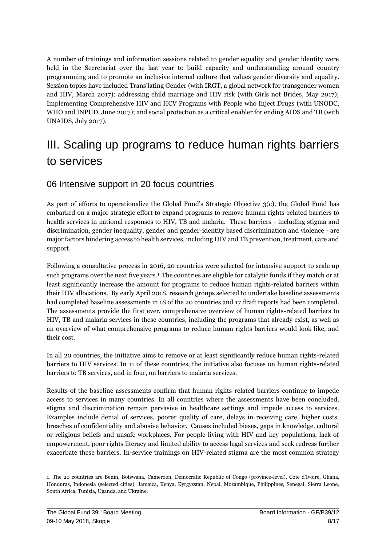A number of trainings and information sessions related to gender equality and gender identity were held in the Secretariat over the last year to build capacity and understanding around country programming and to promote an inclusive internal culture that values gender diversity and equality. Session topics have included Trans'lating Gender (with IRGT, a global network for transgender women and HIV, March 2017); addressing child marriage and HIV risk (with Girls not Brides, May 2017); Implementing Comprehensive HIV and HCV Programs with People who Inject Drugs (with UNODC, WHO and INPUD, June 2017); and social protection as a critical enabler for ending AIDS and TB (with UNAIDS, July 2017).

### <span id="page-7-0"></span>III. Scaling up programs to reduce human rights barriers to services

#### 06 Intensive support in 20 focus countries

As part of efforts to operationalize the Global Fund's Strategic Objective 3(c), the Global Fund has embarked on a major strategic effort to expand programs to remove human rights-related barriers to health services in national responses to HIV, TB and malaria. These barriers - including stigma and discrimination, gender inequality, gender and gender-identity based discrimination and violence - are major factors hindering access to health services, including HIV and TB prevention, treatment, care and support.

Following a consultative process in 2016, 20 countries were selected for intensive support to scale up such programs over the next five years.<sup>1</sup> The countries are eligible for catalytic funds if they match or at least significantly increase the amount for programs to reduce human rights-related barriers within their HIV allocations. By early April 2018, research groups selected to undertake baseline assessments had completed baseline assessments in 18 of the 20 countries and 17 draft reports had been completed. The assessments provide the first ever, comprehensive overview of human rights-related barriers to HIV, TB and malaria services in these countries, including the programs that already exist, as well as an overview of what comprehensive programs to reduce human rights barriers would look like, and their cost.

In all 20 countries, the initiative aims to remove or at least significantly reduce human rights-related barriers to HIV services. In 11 of these countries, the initiative also focuses on human rights-related barriers to TB services, and in four, on barriers to malaria services.

Results of the baseline assessments confirm that human rights-related barriers continue to impede access to services in many countries. In all countries where the assessments have been concluded, stigma and discrimination remain pervasive in healthcare settings and impede access to services. Examples include denial of services, poorer quality of care, delays in receiving care, higher costs, breaches of confidentiality and abusive behavior. Causes included biases, gaps in knowledge, cultural or religious beliefs and unsafe workplaces. For people living with HIV and key populations, lack of empowerment, poor rights literacy and limited ability to access legal services and seek redress further exacerbate these barriers. In-service trainings on HIV-related stigma are the most common strategy

 $\overline{a}$ 

<sup>1.</sup> The 20 countries are Benin, Botswana, Cameroon, Democratic Republic of Congo (province-level), Cote d'Ivoire, Ghana, Honduras, Indonesia (selected cities), Jamaica, Kenya, Kyrgyzstan, Nepal, Mozambique, Philippines, Senegal, Sierra Leone, South Africa, Tunisia, Uganda, and Ukraine.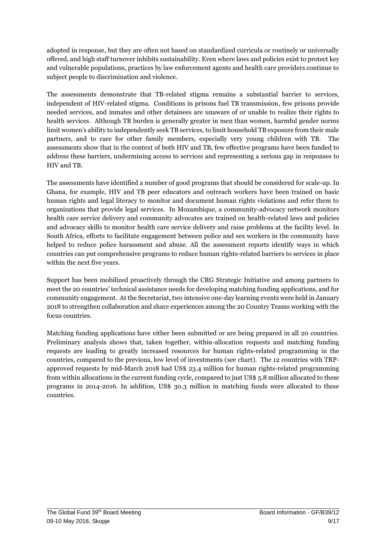adopted in response, but they are often not based on standardized curricula or routinely or universally offered, and high staff turnover inhibits sustainability. Even where laws and policies exist to protect key and vulnerable populations, practices by law enforcement agents and health care providers continue to subject people to discrimination and violence.

The assessments demonstrate that TB-related stigma remains a substantial barrier to services, independent of HIV-related stigma. Conditions in prisons fuel TB transmission, few prisons provide needed services, and inmates and other detainees are unaware of or unable to realize their rights to health services. Although TB burden is generally greater in men than women, harmful gender norms limit women's ability to independently seek TB services, to limit household TB exposure from their male partners, and to care for other family members, especially very young children with TB. The assessments show that in the context of both HIV and TB, few effective programs have been funded to address these barriers, undermining access to services and representing a serious gap in responses to HIV and TB.

The assessments have identified a number of good programs that should be considered for scale-up. In Ghana, for example, HIV and TB peer educators and outreach workers have been trained on basic human rights and legal literacy to monitor and document human rights violations and refer them to organizations that provide legal services. In Mozambique, a community-advocacy network monitors health care service delivery and community advocates are trained on health-related laws and policies and advocacy skills to monitor health care service delivery and raise problems at the facility level. In South Africa, efforts to facilitate engagement between police and sex workers in the community have helped to reduce police harassment and abuse. All the assessment reports identify ways in which countries can put comprehensive programs to reduce human rights-related barriers to services in place within the next five years.

Support has been mobilized proactively through the CRG Strategic Initiative and among partners to meet the 20 countries' technical assistance needs for developing matching funding applications, and for community engagement. At the Secretariat, two intensive one-day learning events were held in January 2018 to strengthen collaboration and share experiences among the 20 Country Teams working with the focus countries.

Matching funding applications have either been submitted or are being prepared in all 20 countries. Preliminary analysis shows that, taken together, within-allocation requests and matching funding requests are leading to greatly increased resources for human rights-related programming in the countries, compared to the previous, low level of investments (see chart). The 12 countries with TRPapproved requests by mid-March 2018 had US\$ 23.4 million for human rights-related programming from within allocations in the current funding cycle, compared to just US\$ 5.8 million allocated to these programs in 2014-2016. In addition, US\$ 30.3 million in matching funds were allocated to these countries.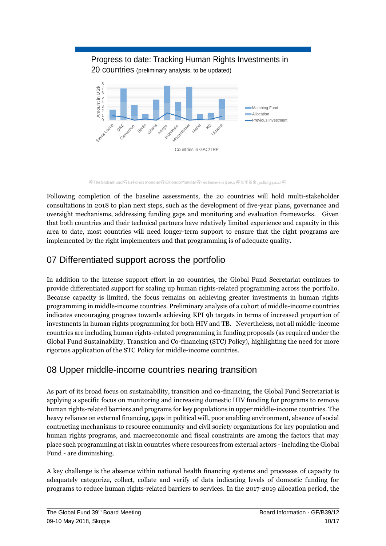#### Progress to date: Tracking Human Rights Investments in 20 countries (preliminary analysis, to be updated) 0 1 2 3 4 5 6 7 Amount in US\$ 8 Sierra Leone ORC Benin Ghana Kenya Indonesia Mozartbique **Nepal** KG Ukraine Matching Fund **Allocation** Previous investment

Countries in GAC/TRP

④ The Global Fund ⑤ Le Fonds mondial ⑤ El Fondo Mundial ⑤ Глобальный фонд ⑤全球基金 (هالمبدوق العالمبر )

Following completion of the baseline assessments, the 20 countries will hold multi-stakeholder consultations in 2018 to plan next steps, such as the development of five-year plans, governance and oversight mechanisms, addressing funding gaps and monitoring and evaluation frameworks. Given that both countries and their technical partners have relatively limited experience and capacity in this area to date, most countries will need longer-term support to ensure that the right programs are implemented by the right implementers and that programming is of adequate quality.

#### 07 Differentiated support across the portfolio

Runetoon

In addition to the intense support effort in 20 countries, the Global Fund Secretariat continues to provide differentiated support for scaling up human rights-related programming across the portfolio. Because capacity is limited, the focus remains on achieving greater investments in human rights programming in middle-income countries. Preliminary analysis of a cohort of middle-income countries indicates encouraging progress towards achieving KPI 9b targets in terms of increased proportion of investments in human rights programming for both HIV and TB. Nevertheless, not all middle-income countries are including human rights-related programming in funding proposals (as required under the Global Fund Sustainability, Transition and Co-financing (STC) Policy), highlighting the need for more rigorous application of the STC Policy for middle-income countries.

#### 08 Upper middle-income countries nearing transition

As part of its broad focus on sustainability, transition and co-financing, the Global Fund Secretariat is applying a specific focus on monitoring and increasing domestic HIV funding for programs to remove human rights-related barriers and programs for key populations in upper middle-income countries. The heavy reliance on external financing, gaps in political will, poor enabling environment, absence of social contracting mechanisms to resource community and civil society organizations for key population and human rights programs, and macroeconomic and fiscal constraints are among the factors that may place such programming at risk in countries where resources from external actors - including the Global Fund - are diminishing.

A key challenge is the absence within national health financing systems and processes of capacity to adequately categorize, collect, collate and verify of data indicating levels of domestic funding for programs to reduce human rights-related barriers to services. In the 2017-2019 allocation period, the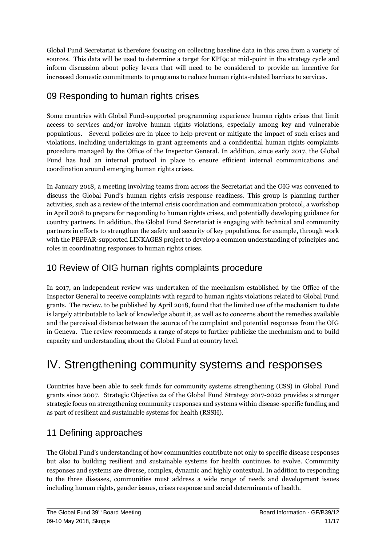Global Fund Secretariat is therefore focusing on collecting baseline data in this area from a variety of sources. This data will be used to determine a target for KPI9c at mid-point in the strategy cycle and inform discussion about policy levers that will need to be considered to provide an incentive for increased domestic commitments to programs to reduce human rights-related barriers to services.

#### 09 Responding to human rights crises

Some countries with Global Fund-supported programming experience human rights crises that limit access to services and/or involve human rights violations, especially among key and vulnerable populations. Several policies are in place to help prevent or mitigate the impact of such crises and violations, including undertakings in grant agreements and a confidential human rights complaints procedure managed by the Office of the Inspector General. In addition, since early 2017, the Global Fund has had an internal protocol in place to ensure efficient internal communications and coordination around emerging human rights crises.

In January 2018, a meeting involving teams from across the Secretariat and the OIG was convened to discuss the Global Fund's human rights crisis response readiness. This group is planning further activities, such as a review of the internal crisis coordination and communication protocol, a workshop in April 2018 to prepare for responding to human rights crises, and potentially developing guidance for country partners. In addition, the Global Fund Secretariat is engaging with technical and community partners in efforts to strengthen the safety and security of key populations, for example, through work with the PEPFAR-supported LINKAGES project to develop a common understanding of principles and roles in coordinating responses to human rights crises.

#### 10 Review of OIG human rights complaints procedure

In 2017, an independent review was undertaken of the mechanism established by the Office of the Inspector General to receive complaints with regard to human rights violations related to Global Fund grants. The review, to be published by April 2018, found that the limited use of the mechanism to date is largely attributable to lack of knowledge about it, as well as to concerns about the remedies available and the perceived distance between the source of the complaint and potential responses from the OIG in Geneva. The review recommends a range of steps to further publicize the mechanism and to build capacity and understanding about the Global Fund at country level.

### <span id="page-10-0"></span>IV. Strengthening community systems and responses

Countries have been able to seek funds for community systems strengthening (CSS) in Global Fund grants since 2007. Strategic Objective 2a of the Global Fund Strategy 2017-2022 provides a stronger strategic focus on strengthening community responses and systems within disease-specific funding and as part of resilient and sustainable systems for health (RSSH).

#### 11 Defining approaches

The Global Fund's understanding of how communities contribute not only to specific disease responses but also to building resilient and sustainable systems for health continues to evolve. Community responses and systems are diverse, complex, dynamic and highly contextual. In addition to responding to the three diseases, communities must address a wide range of needs and development issues including human rights, gender issues, crises response and social determinants of health.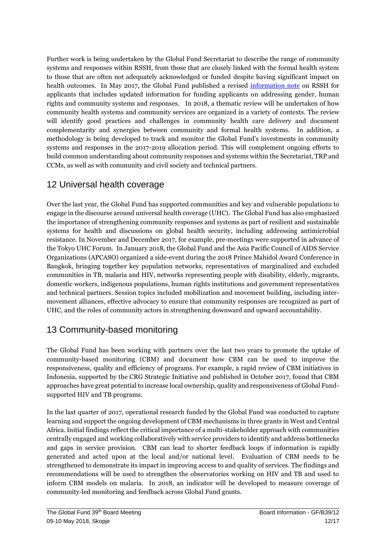Further work is being undertaken by the Global Fund Secretariat to describe the range of community systems and responses within RSSH, from those that are closely linked with the formal health system to those that are often not adequately acknowledged or funded despite having significant impact on health outcomes. In May 2017, the Global Fund published a revised [information note](https://www.theglobalfund.org/media/4759/core_resilientsustainablesystemsforhealth_infonote_en.pdf) on RSSH for applicants that includes updated information for funding applicants on addressing gender, human rights and community systems and responses. In 2018, a thematic review will be undertaken of how community health systems and community services are organized in a variety of contexts. The review will identify good practices and challenges in community health care delivery and document complementarity and synergies between community and formal health systems. In addition, a methodology is being developed to track and monitor the Global Fund's investments in community systems and responses in the 2017-2019 allocation period. This will complement ongoing efforts to build common understanding about community responses and systems within the Secretariat, TRP and CCMs, as well as with community and civil society and technical partners.

#### 12 Universal health coverage

Over the last year, the Global Fund has supported communities and key and vulnerable populations to engage in the discourse around universal health coverage (UHC). The Global Fund has also emphasized the importance of strengthening community responses and systems as part of resilient and sustainable systems for health and discussions on global health security, including addressing antimicrobial resistance. In November and December 2017, for example, pre-meetings were supported in advance of the Tokyo UHC Forum. In January 2018, the Global Fund and the Asia Pacific Council of AIDS Service Organizations (APCASO) organized a side-event during the 2018 Prince Mahidol Award Conference in Bangkok, bringing together key population networks, representatives of marginalized and excluded communities in TB, malaria and HIV, networks representing people with disability, elderly, migrants, domestic workers, indigenous populations, human rights institutions and government representatives and technical partners. Session topics included mobilization and movement building, including intermovement alliances, effective advocacy to ensure that community responses are recognized as part of UHC, and the roles of community actors in strengthening downward and upward accountability.

#### 13 Community-based monitoring

The Global Fund has been working with partners over the last two years to promote the uptake of community-based monitoring (CBM) and document how CBM can be used to improve the responsiveness, quality and efficiency of programs. For example, a rapid review of CBM initiatives in Indonesia, supported by the CRG Strategic Initiative and published in October 2017, found that CBM approaches have great potential to increase local ownership, quality and responsiveness of Global Fundsupported HIV and TB programs.

In the last quarter of 2017, operational research funded by the Global Fund was conducted to capture learning and support the ongoing development of CBM mechanisms in three grants in West and Central Africa. Initial findings reflect the critical importance of a multi-stakeholder approach with communities centrally engaged and working collaboratively with service providers to identify and address bottlenecks and gaps in service provision. CBM can lead to shorter feedback loops if information is rapidly generated and acted upon at the local and/or national level. Evaluation of CBM needs to be strengthened to demonstrate its impact in improving access to and quality of services. The findings and recommendations will be used to strengthen the observatories working on HIV and TB and used to inform CBM models on malaria. In 2018, an indicator will be developed to measure coverage of community-led monitoring and feedback across Global Fund grants.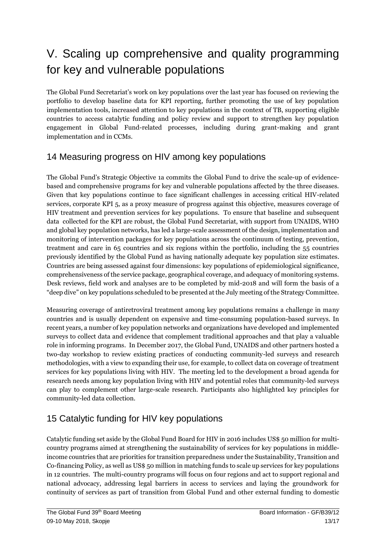## <span id="page-12-0"></span>V. Scaling up comprehensive and quality programming for key and vulnerable populations

The Global Fund Secretariat's work on key populations over the last year has focused on reviewing the portfolio to develop baseline data for KPI reporting, further promoting the use of key population implementation tools, increased attention to key populations in the context of TB, supporting eligible countries to access catalytic funding and policy review and support to strengthen key population engagement in Global Fund-related processes, including during grant-making and grant implementation and in CCMs.

#### 14 Measuring progress on HIV among key populations

The Global Fund's Strategic Objective 1a commits the Global Fund to drive the scale-up of evidencebased and comprehensive programs for key and vulnerable populations affected by the three diseases. Given that key populations continue to face significant challenges in accessing critical HIV-related services, corporate KPI 5, as a proxy measure of progress against this objective, measures coverage of HIV treatment and prevention services for key populations. To ensure that baseline and subsequent data collected for the KPI are robust, the Global Fund Secretariat, with support from UNAIDS, WHO and global key population networks, has led a large-scale assessment of the design, implementation and monitoring of intervention packages for key populations across the continuum of testing, prevention, treatment and care in 65 countries and six regions within the portfolio, including the 55 countries previously identified by the Global Fund as having nationally adequate key population size estimates. Countries are being assessed against four dimensions: key populations of epidemiological significance, comprehensiveness of the service package, geographical coverage, and adequacy of monitoring systems. Desk reviews, field work and analyses are to be completed by mid-2018 and will form the basis of a "deep dive" on key populations scheduled to be presented at the July meeting of the Strategy Committee.

Measuring coverage of antiretroviral treatment among key populations remains a challenge in many countries and is usually dependent on expensive and time-consuming population-based surveys. In recent years, a number of key population networks and organizations have developed and implemented surveys to collect data and evidence that complement traditional approaches and that play a valuable role in informing programs. In December 2017, the Global Fund, UNAIDS and other partners hosted a two-day workshop to review existing practices of conducting community-led surveys and research methodologies, with a view to expanding their use, for example, to collect data on coverage of treatment services for key populations living with HIV. The meeting led to the development a broad agenda for research needs among key population living with HIV and potential roles that community-led surveys can play to complement other large-scale research. Participants also highlighted key principles for community-led data collection.

### 15 Catalytic funding for HIV key populations

Catalytic funding set aside by the Global Fund Board for HIV in 2016 includes US\$ 50 million for multicountry programs aimed at strengthening the sustainability of services for key populations in middleincome countries that are priorities for transition preparedness under the Sustainability, Transition and Co-financing Policy, as well as US\$ 50 million in matching funds to scale up services for key populations in 12 countries. The multi-country programs will focus on four regions and act to support regional and national advocacy, addressing legal barriers in access to services and laying the groundwork for continuity of services as part of transition from Global Fund and other external funding to domestic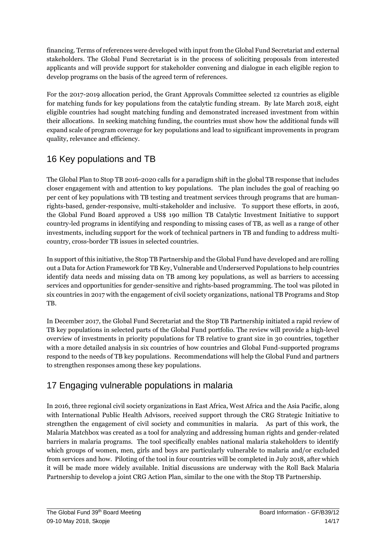financing. Terms of references were developed with input from the Global Fund Secretariat and external stakeholders. The Global Fund Secretariat is in the process of soliciting proposals from interested applicants and will provide support for stakeholder convening and dialogue in each eligible region to develop programs on the basis of the agreed term of references.

For the 2017-2019 allocation period, the Grant Approvals Committee selected 12 countries as eligible for matching funds for key populations from the catalytic funding stream. By late March 2018, eight eligible countries had sought matching funding and demonstrated increased investment from within their allocations. In seeking matching funding, the countries must show how the additional funds will expand scale of program coverage for key populations and lead to significant improvements in program quality, relevance and efficiency.

#### 16 Key populations and TB

The Global Plan to Stop TB 2016-2020 calls for a paradigm shift in the global TB response that includes closer engagement with and attention to key populations. The plan includes the goal of reaching 90 per cent of key populations with TB testing and treatment services through programs that are humanrights-based, gender-responsive, multi-stakeholder and inclusive. To support these efforts, in 2016, the Global Fund Board approved a US\$ 190 million TB Catalytic Investment Initiative to support country-led programs in identifying and responding to missing cases of TB, as well as a range of other investments, including support for the work of technical partners in TB and funding to address multicountry, cross-border TB issues in selected countries.

In support of this initiative, the Stop TB Partnership and the Global Fund have developed and are rolling out a Data for Action Framework for TB Key, Vulnerable and Underserved Populations to help countries identify data needs and missing data on TB among key populations, as well as barriers to accessing services and opportunities for gender-sensitive and rights-based programming. The tool was piloted in six countries in 2017 with the engagement of civil society organizations, national TB Programs and Stop TB.

In December 2017, the Global Fund Secretariat and the Stop TB Partnership initiated a rapid review of TB key populations in selected parts of the Global Fund portfolio. The review will provide a high-level overview of investments in priority populations for TB relative to grant size in 30 countries, together with a more detailed analysis in six countries of how countries and Global Fund-supported programs respond to the needs of TB key populations. Recommendations will help the Global Fund and partners to strengthen responses among these key populations.

#### 17 Engaging vulnerable populations in malaria

In 2016, three regional civil society organizations in East Africa, West Africa and the Asia Pacific, along with International Public Health Advisors, received support through the CRG Strategic Initiative to strengthen the engagement of civil society and communities in malaria. As part of this work, the Malaria Matchbox was created as a tool for analyzing and addressing human rights and gender-related barriers in malaria programs. The tool specifically enables national malaria stakeholders to identify which groups of women, men, girls and boys are particularly vulnerable to malaria and/or excluded from services and how. Piloting of the tool in four countries will be completed in July 2018, after which it will be made more widely available. Initial discussions are underway with the Roll Back Malaria Partnership to develop a joint CRG Action Plan, similar to the one with the Stop TB Partnership.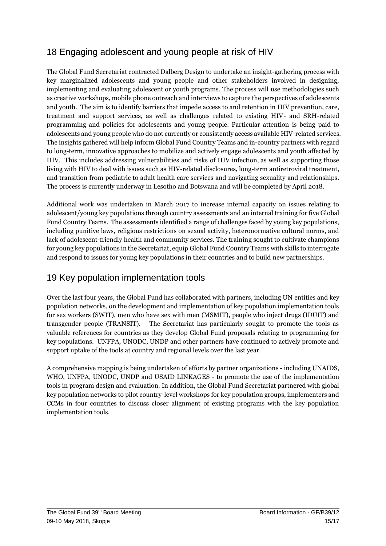#### 18 Engaging adolescent and young people at risk of HIV

The Global Fund Secretariat contracted Dalberg Design to undertake an insight-gathering process with key marginalized adolescents and young people and other stakeholders involved in designing, implementing and evaluating adolescent or youth programs. The process will use methodologies such as creative workshops, mobile phone outreach and interviews to capture the perspectives of adolescents and youth. The aim is to identify barriers that impede access to and retention in HIV prevention, care, treatment and support services, as well as challenges related to existing HIV- and SRH-related programming and policies for adolescents and young people. Particular attention is being paid to adolescents and young people who do not currently or consistently access available HIV-related services. The insights gathered will help inform Global Fund Country Teams and in-country partners with regard to long-term, innovative approaches to mobilize and actively engage adolescents and youth affected by HIV. This includes addressing vulnerabilities and risks of HIV infection, as well as supporting those living with HIV to deal with issues such as HIV-related disclosures, long-term antiretroviral treatment, and transition from pediatric to adult health care services and navigating sexuality and relationships. The process is currently underway in Lesotho and Botswana and will be completed by April 2018.

Additional work was undertaken in March 2017 to increase internal capacity on issues relating to adolescent/young key populations through country assessments and an internal training for five Global Fund Country Teams. The assessments identified a range of challenges faced by young key populations, including punitive laws, religious restrictions on sexual activity, heteronormative cultural norms, and lack of adolescent-friendly health and community services. The training sought to cultivate champions for young key populations in the Secretariat, equip Global Fund Country Teams with skills to interrogate and respond to issues for young key populations in their countries and to build new partnerships.

#### 19 Key population implementation tools

Over the last four years, the Global Fund has collaborated with partners, including UN entities and key population networks, on the development and implementation of key population implementation tools for sex workers (SWIT), men who have sex with men (MSMIT), people who inject drugs (IDUIT) and transgender people (TRANSIT). The Secretariat has particularly sought to promote the tools as valuable references for countries as they develop Global Fund proposals relating to programming for key populations. UNFPA, UNODC, UNDP and other partners have continued to actively promote and support uptake of the tools at country and regional levels over the last year.

A comprehensive mapping is being undertaken of efforts by partner organizations - including UNAIDS, WHO, UNFPA, UNODC, UNDP and USAID LINKAGES - to promote the use of the implementation tools in program design and evaluation. In addition, the Global Fund Secretariat partnered with global key population networks to pilot country-level workshops for key population groups, implementers and CCMs in four countries to discuss closer alignment of existing programs with the key population implementation tools.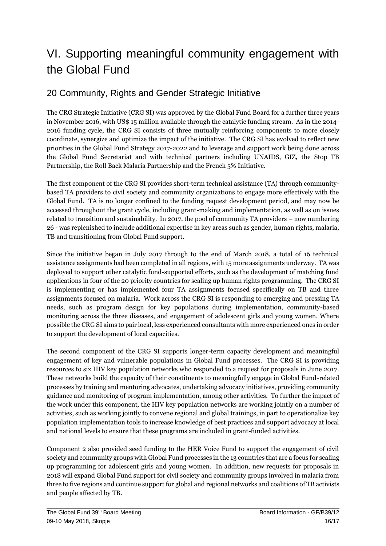### <span id="page-15-0"></span>VI. Supporting meaningful community engagement with the Global Fund

#### 20 Community, Rights and Gender Strategic Initiative

The CRG Strategic Initiative (CRG SI) was approved by the Global Fund Board for a further three years in November 2016, with US\$ 15 million available through the catalytic funding stream. As in the 2014- 2016 funding cycle, the CRG SI consists of three mutually reinforcing components to more closely coordinate, synergize and optimize the impact of the initiative. The CRG SI has evolved to reflect new priorities in the Global Fund Strategy 2017-2022 and to leverage and support work being done across the Global Fund Secretariat and with technical partners including UNAIDS, GIZ, the Stop TB Partnership, the Roll Back Malaria Partnership and the French 5% Initiative.

The first component of the CRG SI provides short-term technical assistance (TA) through communitybased TA providers to civil society and community organizations to engage more effectively with the Global Fund. TA is no longer confined to the funding request development period, and may now be accessed throughout the grant cycle, including grant-making and implementation, as well as on issues related to transition and sustainability. In 2017, the pool of community TA providers – now numbering 26 - was replenished to include additional expertise in key areas such as gender, human rights, malaria, TB and transitioning from Global Fund support.

Since the initiative began in July 2017 through to the end of March 2018, a total of 16 technical assistance assignments had been completed in all regions, with 15 more assignments underway. TA was deployed to support other catalytic fund-supported efforts, such as the development of matching fund applications in four of the 20 priority countries for scaling up human rights programming. The CRG SI is implementing or has implemented four TA assignments focused specifically on TB and three assignments focused on malaria. Work across the CRG SI is responding to emerging and pressing TA needs, such as program design for key populations during implementation, community-based monitoring across the three diseases, and engagement of adolescent girls and young women. Where possible the CRG SI aims to pair local, less experienced consultants with more experienced ones in order to support the development of local capacities.

The second component of the CRG SI supports longer-term capacity development and meaningful engagement of key and vulnerable populations in Global Fund processes. The CRG SI is providing resources to six HIV key population networks who responded to a request for proposals in June 2017. These networks build the capacity of their constituents to meaningfully engage in Global Fund-related processes by training and mentoring advocates, undertaking advocacy initiatives, providing community guidance and monitoring of program implementation, among other activities. To further the impact of the work under this component, the HIV key population networks are working jointly on a number of activities, such as working jointly to convene regional and global trainings, in part to operationalize key population implementation tools to increase knowledge of best practices and support advocacy at local and national levels to ensure that these programs are included in grant-funded activities.

Component 2 also provided seed funding to the HER Voice Fund to support the engagement of civil society and community groups with Global Fund processes in the 13 countries that are a focus for scaling up programming for adolescent girls and young women. In addition, new requests for proposals in 2018 will expand Global Fund support for civil society and community groups involved in malaria from three to five regions and continue support for global and regional networks and coalitions of TB activists and people affected by TB.